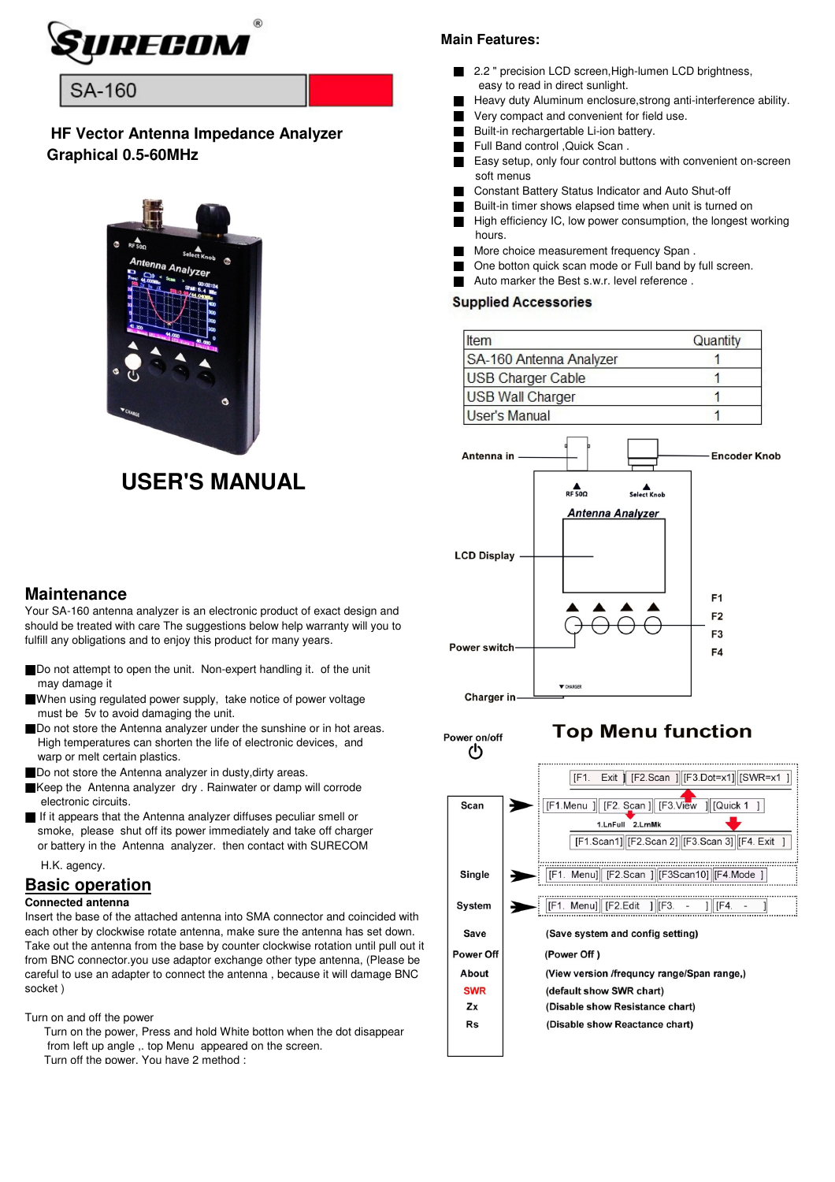

# **SA-160**

# **HF Vector Antenna Impedance Analyzer Graphical 0.5-60MHz**



# **USER'S MANUAL**

#### **Main Features:**

- 2.2 " precision LCD screen, High-lumen LCD brightness, easy to read in direct sunlight.
- Heavy duty Aluminum enclosure, strong anti-interference ability.
- Very compact and convenient for field use.
- Built-in rechargertable Li-ion battery.
- Full Band control ,Quick Scan .
- Easy setup, only four control buttons with convenient on-screen soft menus
- Constant Battery Status Indicator and Auto Shut-off
- Built-in timer shows elapsed time when unit is turned on
- High efficiency IC, low power consumption, the longest working hours.
- More choice measurement frequency Span.
- One botton quick scan mode or Full band by full screen.
- Auto marker the Best s.w.r. level reference.

## **Supplied Accessories**

| Item                     | Quantity |
|--------------------------|----------|
| SA-160 Antenna Analyzer  |          |
| <b>USB Charger Cable</b> |          |
| <b>USB Wall Charger</b>  |          |
| <b>User's Manual</b>     |          |



Power on/off

# **Top Menu function**



# **Maintenance**

Your SA-160 antenna analyzer is an electronic product of exact design and should be treated with care The suggestions below help warranty will you to fulfill any obligations and to enjoy this product for many years.

- Do not attempt to open the unit. Non-expert handling it. of the unit may damage it
- ■When using regulated power supply, take notice of power voltage must be 5v to avoid damaging the unit.
- Do not store the Antenna analyzer under the sunshine or in hot areas. High temperatures can shorten the life of electronic devices, and warp or melt certain plastics.
- Do not store the Antenna analyzer in dusty, dirty areas.
- ■Keep the Antenna analyzer dry . Rainwater or damp will corrode electronic circuits.
- If it appears that the Antenna analyzer diffuses peculiar smell or smoke, please shut off its power immediately and take off charger or battery in the Antenna analyzer. then contact with SURECOM
	- H.K. agency.

### **Basic operation**

#### **Connected antenna**

Insert the base of the attached antenna into SMA connector and coincided with each other by clockwise rotate antenna, make sure the antenna has set down. Take out the antenna from the base by counter clockwise rotation until pull out it from BNC connector.you use adaptor exchange other type antenna, (Please be careful to use an adapter to connect the antenna , because it will damage BNC socket )

Turn on and off the power

 Turn on the power, Press and hold White botton when the dot disappear from left up angle ,. top Menu appeared on the screen. Turn off the power, You have 2 method :